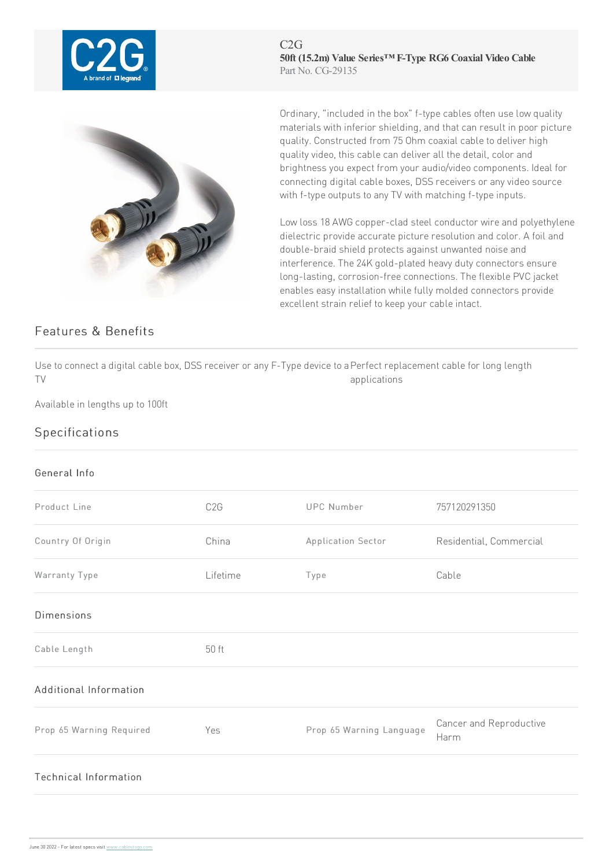

## Features & Benefits

C2G **50ft (15.2m) Value Series™ F-Type RG6 Coaxial Video Cable** Part No. CG-29135

Ordinary, "included in the box" f-type cables often use low quality materials with inferior shielding, and that can result in poor picture quality. Constructed from 75 Ohm coaxial cable to deliver high quality video, this cable can deliver all the detail, color and brightness you expect from your audio/video components. Ideal for connecting digital cable boxes, DSS receivers or any video source with f-type outputs to any TV with matching f-type inputs.

Low loss 18 AWG copper-clad steel conductor wire and polyethylene dielectric provide accurate picture resolution and color. A foil and double-braid shield protects against unwanted noise and interference. The 24K gold-plated heavy duty connectors ensure long-lasting, corrosion-free connections. The flexible PVC jacket enables easy installation while fully molded connectors provide excellent strain relief to keep your cable intact.

Use to connect a digital cable box, DSS receiver or any F-Type device to a Perfect replacement cable for long length TV applications

Available in lengths up to 100ft

## Specifications

## General Info

| Product Line                 | C <sub>2</sub> G | <b>UPC Number</b>        | 757120291350                    |
|------------------------------|------------------|--------------------------|---------------------------------|
| Country Of Origin            | China            | Application Sector       | Residential, Commercial         |
| Warranty Type                | Lifetime         | Type                     | Cable                           |
| <b>Dimensions</b>            |                  |                          |                                 |
| Cable Length                 | 50 ft            |                          |                                 |
| Additional Information       |                  |                          |                                 |
| Prop 65 Warning Required     | Yes              | Prop 65 Warning Language | Cancer and Reproductive<br>Harm |
| <b>Technical Information</b> |                  |                          |                                 |
|                              |                  |                          |                                 |